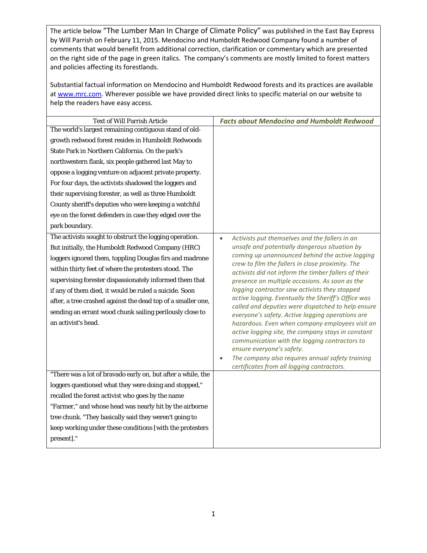The article below "The Lumber Man In Charge of Climate Policy" was published in the East Bay Express by Will Parrish on February 11, 2015. Mendocino and Humboldt Redwood Company found a number of comments that would benefit from additional correction, clarification or commentary which are presented on the right side of the page in green italics. The company's comments are mostly limited to forest matters and policies affecting its forestlands.

Substantial factual information on Mendocino and Humboldt Redwood forests and its practices are available at [www.mrc.com.](http://www.mrc.com/) Wherever possible we have provided direct links to specific material on our website to help the readers have easy access.

| <b>Text of Will Parrish Article</b>                          | <b>Facts about Mendocino and Humboldt Redwood</b>                                                         |
|--------------------------------------------------------------|-----------------------------------------------------------------------------------------------------------|
| The world's largest remaining contiguous stand of old-       |                                                                                                           |
| growth redwood forest resides in Humboldt Redwoods           |                                                                                                           |
| State Park in Northern California. On the park's             |                                                                                                           |
| northwestern flank, six people gathered last May to          |                                                                                                           |
| oppose a logging venture on adjacent private property.       |                                                                                                           |
| For four days, the activists shadowed the loggers and        |                                                                                                           |
| their supervising forester, as well as three Humboldt        |                                                                                                           |
| County sheriff's deputies who were keeping a watchful        |                                                                                                           |
| eye on the forest defenders in case they edged over the      |                                                                                                           |
| park boundary.                                               |                                                                                                           |
| The activists sought to obstruct the logging operation.      | Activists put themselves and the fallers in an<br>$\bullet$                                               |
| But initially, the Humboldt Redwood Company (HRC)            | unsafe and potentially dangerous situation by                                                             |
| loggers ignored them, toppling Douglas firs and madrone      | coming up unannounced behind the active logging<br>crew to film the fallers in close proximity. The       |
| within thirty feet of where the protesters stood. The        | activists did not inform the timber fallers of their                                                      |
| supervising forester dispassionately informed them that      | presence on multiple occasions. As soon as the                                                            |
| if any of them died, it would be ruled a suicide. Soon       | logging contractor saw activists they stopped                                                             |
| after, a tree crashed against the dead top of a smaller one, | active logging. Eventually the Sheriff's Office was<br>called and deputies were dispatched to help ensure |
| sending an errant wood chunk sailing perilously close to     | everyone's safety. Active logging operations are                                                          |
| an activist's head.                                          | hazardous. Even when company employees visit an                                                           |
|                                                              | active logging site, the company stays in constant                                                        |
|                                                              | communication with the logging contractors to<br>ensure everyone's safety.                                |
|                                                              | The company also requires annual safety training<br>$\bullet$                                             |
|                                                              | certificates from all logging contractors.                                                                |
| "There was a lot of bravado early on, but after a while, the |                                                                                                           |
| loggers questioned what they were doing and stopped,"        |                                                                                                           |
| recalled the forest activist who goes by the name            |                                                                                                           |
|                                                              |                                                                                                           |
| "Farmer," and whose head was nearly hit by the airborne      |                                                                                                           |
| tree chunk. "They basically said they weren't going to       |                                                                                                           |
| keep working under these conditions [with the protesters     |                                                                                                           |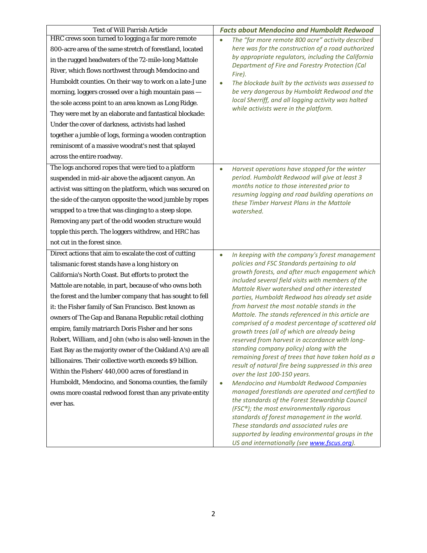| <b>Text of Will Parrish Article</b>                        | <b>Facts about Mendocino and Humboldt Redwood</b>                                                           |
|------------------------------------------------------------|-------------------------------------------------------------------------------------------------------------|
| HRC crews soon turned to logging a far more remote         | The "far more remote 800 acre" activity described<br>$\bullet$                                              |
| 800-acre area of the same stretch of forestland, located   | here was for the construction of a road authorized                                                          |
| in the rugged headwaters of the 72-mile-long Mattole       | by appropriate regulators, including the California<br>Department of Fire and Forestry Protection (Cal      |
| River, which flows northwest through Mendocino and         | Fire).                                                                                                      |
| Humboldt counties. On their way to work on a late-June     | The blockade built by the activists was assessed to<br>$\bullet$                                            |
| morning, loggers crossed over a high mountain pass -       | be very dangerous by Humboldt Redwood and the                                                               |
| the sole access point to an area known as Long Ridge.      | local Sherriff, and all logging activity was halted<br>while activists were in the platform.                |
| They were met by an elaborate and fantastical blockade:    |                                                                                                             |
| Under the cover of darkness, activists had lashed          |                                                                                                             |
| together a jumble of logs, forming a wooden contraption    |                                                                                                             |
| reminiscent of a massive woodrat's nest that splayed       |                                                                                                             |
| across the entire roadway.                                 |                                                                                                             |
| The logs anchored ropes that were tied to a platform       | Harvest operations have stopped for the winter<br>$\bullet$                                                 |
| suspended in mid-air above the adjacent canyon. An         | period. Humboldt Redwood will give at least 3                                                               |
| activist was sitting on the platform, which was secured on | months notice to those interested prior to<br>resuming logging and road building operations on              |
| the side of the canyon opposite the wood jumble by ropes   | these Timber Harvest Plans in the Mattole                                                                   |
| wrapped to a tree that was clinging to a steep slope.      | watershed.                                                                                                  |
| Removing any part of the odd wooden structure would        |                                                                                                             |
| topple this perch. The loggers withdrew, and HRC has       |                                                                                                             |
| not cut in the forest since.                               |                                                                                                             |
| Direct actions that aim to escalate the cost of cutting    | In keeping with the company's forest management<br>$\bullet$                                                |
| talismanic forest stands have a long history on            | policies and FSC Standards pertaining to old                                                                |
| California's North Coast. But efforts to protect the       | growth forests, and after much engagement which<br>included several field visits with members of the        |
| Mattole are notable, in part, because of who owns both     | Mattole River watershed and other interested                                                                |
| the forest and the lumber company that has sought to fell  | parties, Humboldt Redwood has already set aside                                                             |
| it: the Fisher family of San Francisco. Best known as      | from harvest the most notable stands in the                                                                 |
| owners of The Gap and Banana Republic retail clothing      | Mattole. The stands referenced in this article are<br>comprised of a modest percentage of scattered old     |
| empire, family matriarch Doris Fisher and her sons         | growth trees (all of which are already being                                                                |
| Robert, William, and John (who is also well-known in the   | reserved from harvest in accordance with long-                                                              |
| East Bay as the majority owner of the Oakland A's) are all | standing company policy) along with the                                                                     |
| billionaires. Their collective worth exceeds \$9 billion.  | remaining forest of trees that have taken hold as a<br>result of natural fire being suppressed in this area |
| Within the Fishers' 440,000 acres of forestland in         | over the last 100-150 years.                                                                                |
| Humboldt, Mendocino, and Sonoma counties, the family       | Mendocino and Humboldt Redwood Companies<br>$\bullet$                                                       |
| owns more coastal redwood forest than any private entity   | managed forestlands are operated and certified to                                                           |
| ever has.                                                  | the standards of the Forest Stewardship Council<br>(FSC®); the most environmentally rigorous                |
|                                                            | standards of forest management in the world.                                                                |
|                                                            | These standards and associated rules are                                                                    |
|                                                            | supported by leading environmental groups in the<br>US and internationally (see www.fscus.org).             |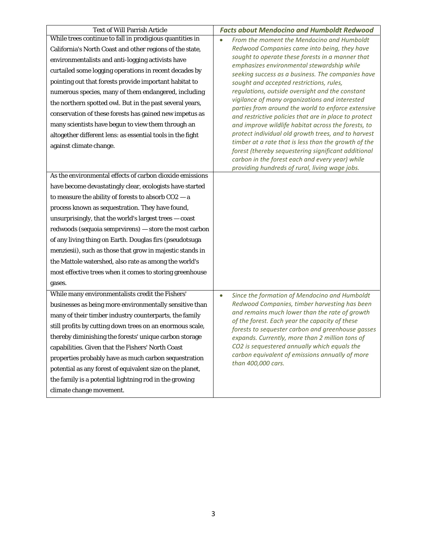| <b>Text of Will Parrish Article</b>                        | <b>Facts about Mendocino and Humboldt Redwood</b>                                                           |
|------------------------------------------------------------|-------------------------------------------------------------------------------------------------------------|
| While trees continue to fall in prodigious quantities in   | From the moment the Mendocino and Humboldt                                                                  |
| California's North Coast and other regions of the state,   | Redwood Companies came into being, they have                                                                |
| environmentalists and anti-logging activists have          | sought to operate these forests in a manner that<br>emphasizes environmental stewardship while              |
| curtailed some logging operations in recent decades by     | seeking success as a business. The companies have                                                           |
| pointing out that forests provide important habitat to     | sought and accepted restrictions, rules,                                                                    |
| numerous species, many of them endangered, including       | regulations, outside oversight and the constant                                                             |
| the northern spotted owl. But in the past several years,   | vigilance of many organizations and interested<br>parties from around the world to enforce extensive        |
| conservation of these forests has gained new impetus as    | and restrictive policies that are in place to protect                                                       |
| many scientists have begun to view them through an         | and improve wildlife habitat across the forests, to                                                         |
| altogether different lens: as essential tools in the fight | protect individual old growth trees, and to harvest                                                         |
| against climate change.                                    | timber at a rate that is less than the growth of the<br>forest (thereby sequestering significant additional |
|                                                            | carbon in the forest each and every year) while                                                             |
|                                                            | providing hundreds of rural, living wage jobs.                                                              |
| As the environmental effects of carbon dioxide emissions   |                                                                                                             |
| have become devastatingly clear, ecologists have started   |                                                                                                             |
| to measure the ability of forests to absorb $CO2 - a$      |                                                                                                             |
| process known as sequestration. They have found,           |                                                                                                             |
| unsurprisingly, that the world's largest trees - coast     |                                                                                                             |
| redwoods (sequoia semprvirens) - store the most carbon     |                                                                                                             |
| of any living thing on Earth. Douglas firs (pseudotsuga    |                                                                                                             |
| menziesii), such as those that grow in majestic stands in  |                                                                                                             |
| the Mattole watershed, also rate as among the world's      |                                                                                                             |
| most effective trees when it comes to storing greenhouse   |                                                                                                             |
| gases.                                                     |                                                                                                             |
| While many environmentalists credit the Fishers'           | Since the formation of Mendocino and Humboldt<br>$\bullet$                                                  |
| businesses as being more environmentally sensitive than    | Redwood Companies, timber harvesting has been                                                               |
| many of their timber industry counterparts, the family     | and remains much lower than the rate of growth<br>of the forest. Each year the capacity of these            |
| still profits by cutting down trees on an enormous scale,  | forests to sequester carbon and greenhouse gasses                                                           |
| thereby diminishing the forests' unique carbon storage     | expands. Currently, more than 2 million tons of                                                             |
| capabilities. Given that the Fishers' North Coast          | CO2 is sequestered annually which equals the                                                                |
| properties probably have as much carbon sequestration      | carbon equivalent of emissions annually of more<br>than 400,000 cars.                                       |
| potential as any forest of equivalent size on the planet,  |                                                                                                             |
| the family is a potential lightning rod in the growing     |                                                                                                             |
| climate change movement.                                   |                                                                                                             |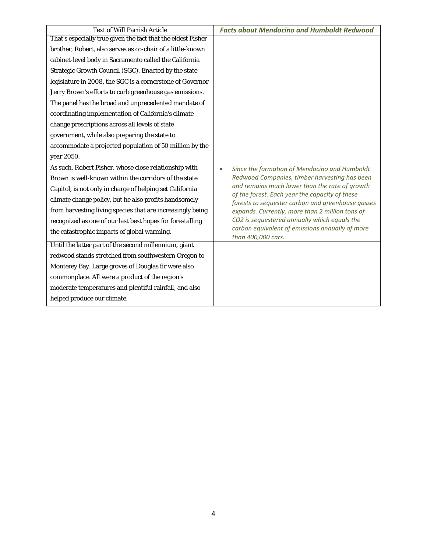| <b>Text of Will Parrish Article</b>                          | <b>Facts about Mendocino and Humboldt Redwood</b>                                                |
|--------------------------------------------------------------|--------------------------------------------------------------------------------------------------|
| That's especially true given the fact that the eldest Fisher |                                                                                                  |
| brother, Robert, also serves as co-chair of a little-known   |                                                                                                  |
| cabinet-level body in Sacramento called the California       |                                                                                                  |
| Strategic Growth Council (SGC). Enacted by the state         |                                                                                                  |
| legislature in 2008, the SGC is a cornerstone of Governor    |                                                                                                  |
| Jerry Brown's efforts to curb greenhouse gas emissions.      |                                                                                                  |
| The panel has the broad and unprecedented mandate of         |                                                                                                  |
| coordinating implementation of California's climate          |                                                                                                  |
| change prescriptions across all levels of state              |                                                                                                  |
| government, while also preparing the state to                |                                                                                                  |
| accommodate a projected population of 50 million by the      |                                                                                                  |
| year 2050.                                                   |                                                                                                  |
| As such, Robert Fisher, whose close relationship with        | Since the formation of Mendocino and Humboldt<br>$\bullet$                                       |
| Brown is well-known within the corridors of the state        | Redwood Companies, timber harvesting has been                                                    |
| Capitol, is not only in charge of helping set California     | and remains much lower than the rate of growth<br>of the forest. Each year the capacity of these |
| climate change policy, but he also profits handsomely        | forests to sequester carbon and greenhouse gasses                                                |
| from harvesting living species that are increasingly being   | expands. Currently, more than 2 million tons of                                                  |
| recognized as one of our last best hopes for forestalling    | CO2 is sequestered annually which equals the                                                     |
| the catastrophic impacts of global warming.                  | carbon equivalent of emissions annually of more<br>than 400,000 cars.                            |
| Until the latter part of the second millennium, giant        |                                                                                                  |
| redwood stands stretched from southwestern Oregon to         |                                                                                                  |
| Monterey Bay. Large groves of Douglas fir were also          |                                                                                                  |
| commonplace. All were a product of the region's              |                                                                                                  |
| moderate temperatures and plentiful rainfall, and also       |                                                                                                  |
| helped produce our climate.                                  |                                                                                                  |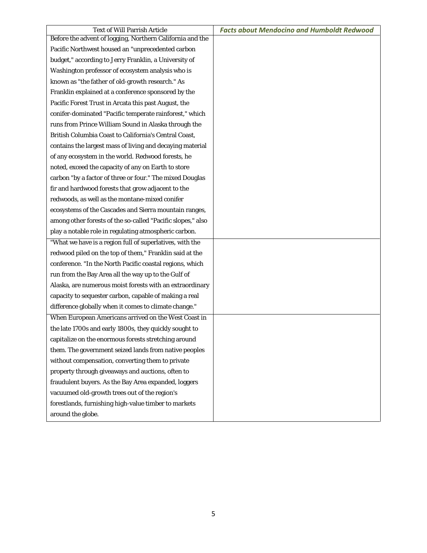| <b>Text of Will Parrish Article</b>                         | <b>Facts about Mendocino and Humboldt Redwood</b> |
|-------------------------------------------------------------|---------------------------------------------------|
| Before the advent of logging, Northern California and the   |                                                   |
| Pacific Northwest housed an "unprecedented carbon           |                                                   |
| budget," according to Jerry Franklin, a University of       |                                                   |
| Washington professor of ecosystem analysis who is           |                                                   |
| known as "the father of old-growth research." As            |                                                   |
| Franklin explained at a conference sponsored by the         |                                                   |
| Pacific Forest Trust in Arcata this past August, the        |                                                   |
| conifer-dominated "Pacific temperate rainforest," which     |                                                   |
| runs from Prince William Sound in Alaska through the        |                                                   |
| British Columbia Coast to California's Central Coast,       |                                                   |
| contains the largest mass of living and decaying material   |                                                   |
| of any ecosystem in the world. Redwood forests, he          |                                                   |
| noted, exceed the capacity of any on Earth to store         |                                                   |
| carbon "by a factor of three or four." The mixed Douglas    |                                                   |
| fir and hardwood forests that grow adjacent to the          |                                                   |
| redwoods, as well as the montane-mixed conifer              |                                                   |
| ecosystems of the Cascades and Sierra mountain ranges,      |                                                   |
| among other forests of the so-called "Pacific slopes," also |                                                   |
| play a notable role in regulating atmospheric carbon.       |                                                   |
| "What we have is a region full of superlatives, with the    |                                                   |
| redwood piled on the top of them," Franklin said at the     |                                                   |
| conference. "In the North Pacific coastal regions, which    |                                                   |
| run from the Bay Area all the way up to the Gulf of         |                                                   |
| Alaska, are numerous moist forests with an extraordinary    |                                                   |
| capacity to sequester carbon, capable of making a real      |                                                   |
| difference globally when it comes to climate change."       |                                                   |
| When European Americans arrived on the West Coast in        |                                                   |
| the late 1700s and early 1800s, they quickly sought to      |                                                   |
| capitalize on the enormous forests stretching around        |                                                   |
| them. The government seized lands from native peoples       |                                                   |
| without compensation, converting them to private            |                                                   |
| property through giveaways and auctions, often to           |                                                   |
| fraudulent buyers. As the Bay Area expanded, loggers        |                                                   |
| vacuumed old-growth trees out of the region's               |                                                   |
| forestlands, furnishing high-value timber to markets        |                                                   |
| around the globe.                                           |                                                   |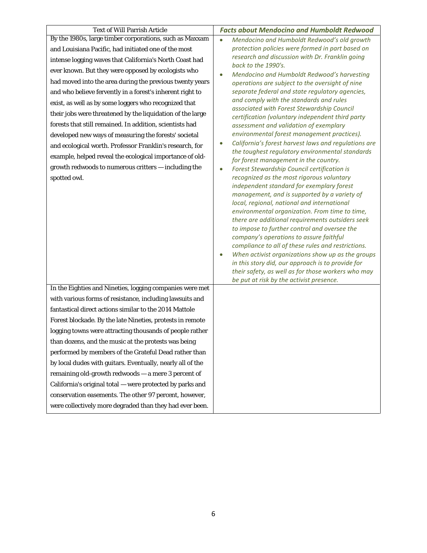| <b>Text of Will Parrish Article</b>                                      | <b>Facts about Mendocino and Humboldt Redwood</b>                                                                                                                                                                                                                                                                                                                                                                                                                                                                                                                                                                                                        |
|--------------------------------------------------------------------------|----------------------------------------------------------------------------------------------------------------------------------------------------------------------------------------------------------------------------------------------------------------------------------------------------------------------------------------------------------------------------------------------------------------------------------------------------------------------------------------------------------------------------------------------------------------------------------------------------------------------------------------------------------|
| By the 1980s, large timber corporations, such as Maxxam                  | Mendocino and Humboldt Redwood's old growth<br>$\bullet$                                                                                                                                                                                                                                                                                                                                                                                                                                                                                                                                                                                                 |
| and Louisiana Pacific, had initiated one of the most                     | protection policies were formed in part based on                                                                                                                                                                                                                                                                                                                                                                                                                                                                                                                                                                                                         |
| intense logging waves that California's North Coast had                  | research and discussion with Dr. Franklin going<br>back to the 1990's.                                                                                                                                                                                                                                                                                                                                                                                                                                                                                                                                                                                   |
| ever known. But they were opposed by ecologists who                      | Mendocino and Humboldt Redwood's harvesting                                                                                                                                                                                                                                                                                                                                                                                                                                                                                                                                                                                                              |
| had moved into the area during the previous twenty years                 | operations are subject to the oversight of nine                                                                                                                                                                                                                                                                                                                                                                                                                                                                                                                                                                                                          |
| and who believe fervently in a forest's inherent right to                | separate federal and state regulatory agencies,                                                                                                                                                                                                                                                                                                                                                                                                                                                                                                                                                                                                          |
| exist, as well as by some loggers who recognized that                    | and comply with the standards and rules                                                                                                                                                                                                                                                                                                                                                                                                                                                                                                                                                                                                                  |
| their jobs were threatened by the liquidation of the large               | associated with Forest Stewardship Council<br>certification (voluntary independent third party                                                                                                                                                                                                                                                                                                                                                                                                                                                                                                                                                           |
| forests that still remained. In addition, scientists had                 | assessment and validation of exemplary                                                                                                                                                                                                                                                                                                                                                                                                                                                                                                                                                                                                                   |
| developed new ways of measuring the forests' societal                    | environmental forest management practices).                                                                                                                                                                                                                                                                                                                                                                                                                                                                                                                                                                                                              |
| and ecological worth. Professor Franklin's research, for                 | California's forest harvest laws and regulations are                                                                                                                                                                                                                                                                                                                                                                                                                                                                                                                                                                                                     |
| example, helped reveal the ecological importance of old-                 | the toughest regulatory environmental standards<br>for forest management in the country.                                                                                                                                                                                                                                                                                                                                                                                                                                                                                                                                                                 |
| growth redwoods to numerous critters - including the                     | Forest Stewardship Council certification is                                                                                                                                                                                                                                                                                                                                                                                                                                                                                                                                                                                                              |
| spotted owl.<br>In the Eighties and Nineties, logging companies were met | recognized as the most rigorous voluntary<br>independent standard for exemplary forest<br>management, and is supported by a variety of<br>local, regional, national and international<br>environmental organization. From time to time,<br>there are additional requirements outsiders seek<br>to impose to further control and oversee the<br>company's operations to assure faithful<br>compliance to all of these rules and restrictions.<br>When activist organizations show up as the groups<br>in this story did, our approach is to provide for<br>their safety, as well as for those workers who may<br>be put at risk by the activist presence. |
| with various forms of resistance, including lawsuits and                 |                                                                                                                                                                                                                                                                                                                                                                                                                                                                                                                                                                                                                                                          |
| fantastical direct actions similar to the 2014 Mattole                   |                                                                                                                                                                                                                                                                                                                                                                                                                                                                                                                                                                                                                                                          |
| Forest blockade. By the late Nineties, protests in remote                |                                                                                                                                                                                                                                                                                                                                                                                                                                                                                                                                                                                                                                                          |
| logging towns were attracting thousands of people rather                 |                                                                                                                                                                                                                                                                                                                                                                                                                                                                                                                                                                                                                                                          |
| than dozens, and the music at the protests was being                     |                                                                                                                                                                                                                                                                                                                                                                                                                                                                                                                                                                                                                                                          |
| performed by members of the Grateful Dead rather than                    |                                                                                                                                                                                                                                                                                                                                                                                                                                                                                                                                                                                                                                                          |
| by local dudes with guitars. Eventually, nearly all of the               |                                                                                                                                                                                                                                                                                                                                                                                                                                                                                                                                                                                                                                                          |
| remaining old-growth redwoods - a mere 3 percent of                      |                                                                                                                                                                                                                                                                                                                                                                                                                                                                                                                                                                                                                                                          |
| California's original total - were protected by parks and                |                                                                                                                                                                                                                                                                                                                                                                                                                                                                                                                                                                                                                                                          |
| conservation easements. The other 97 percent, however,                   |                                                                                                                                                                                                                                                                                                                                                                                                                                                                                                                                                                                                                                                          |
| were collectively more degraded than they had ever been.                 |                                                                                                                                                                                                                                                                                                                                                                                                                                                                                                                                                                                                                                                          |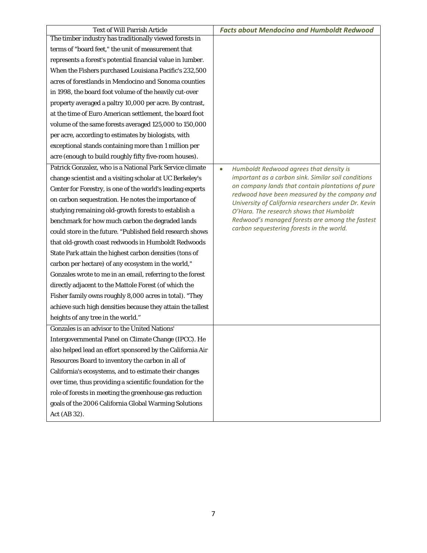| <b>Text of Will Parrish Article</b>                         | <b>Facts about Mendocino and Humboldt Redwood</b>                                                  |
|-------------------------------------------------------------|----------------------------------------------------------------------------------------------------|
| The timber industry has traditionally viewed forests in     |                                                                                                    |
| terms of "board feet," the unit of measurement that         |                                                                                                    |
| represents a forest's potential financial value in lumber.  |                                                                                                    |
| When the Fishers purchased Louisiana Pacific's 232,500      |                                                                                                    |
| acres of forestlands in Mendocino and Sonoma counties       |                                                                                                    |
| in 1998, the board foot volume of the heavily cut-over      |                                                                                                    |
| property averaged a paltry 10,000 per acre. By contrast,    |                                                                                                    |
| at the time of Euro American settlement, the board foot     |                                                                                                    |
| volume of the same forests averaged 125,000 to 150,000      |                                                                                                    |
| per acre, according to estimates by biologists, with        |                                                                                                    |
| exceptional stands containing more than 1 million per       |                                                                                                    |
| acre (enough to build roughly fifty five-room houses).      |                                                                                                    |
| Patrick Gonzalez, who is a National Park Service climate    | Humboldt Redwood agrees that density is<br>$\bullet$                                               |
| change scientist and a visiting scholar at UC Berkeley's    | important as a carbon sink. Similar soil conditions                                                |
| Center for Forestry, is one of the world's leading experts  | on company lands that contain plantations of pure<br>redwood have been measured by the company and |
| on carbon sequestration. He notes the importance of         | University of California researchers under Dr. Kevin                                               |
| studying remaining old-growth forests to establish a        | O'Hara. The research shows that Humboldt                                                           |
| benchmark for how much carbon the degraded lands            | Redwood's managed forests are among the fastest                                                    |
| could store in the future. "Published field research shows  | carbon sequestering forests in the world.                                                          |
| that old-growth coast redwoods in Humboldt Redwoods         |                                                                                                    |
| State Park attain the highest carbon densities (tons of     |                                                                                                    |
| carbon per hectare) of any ecosystem in the world,"         |                                                                                                    |
| Gonzales wrote to me in an email, referring to the forest   |                                                                                                    |
| directly adjacent to the Mattole Forest (of which the       |                                                                                                    |
| Fisher family owns roughly 8,000 acres in total). "They     |                                                                                                    |
| achieve such high densities because they attain the tallest |                                                                                                    |
| heights of any tree in the world."                          |                                                                                                    |
| Gonzales is an advisor to the United Nations'               |                                                                                                    |
| Intergovernmental Panel on Climate Change (IPCC). He        |                                                                                                    |
| also helped lead an effort sponsored by the California Air  |                                                                                                    |
| Resources Board to inventory the carbon in all of           |                                                                                                    |
| California's ecosystems, and to estimate their changes      |                                                                                                    |
| over time, thus providing a scientific foundation for the   |                                                                                                    |
| role of forests in meeting the greenhouse gas reduction     |                                                                                                    |
| goals of the 2006 California Global Warming Solutions       |                                                                                                    |
| Act (AB 32).                                                |                                                                                                    |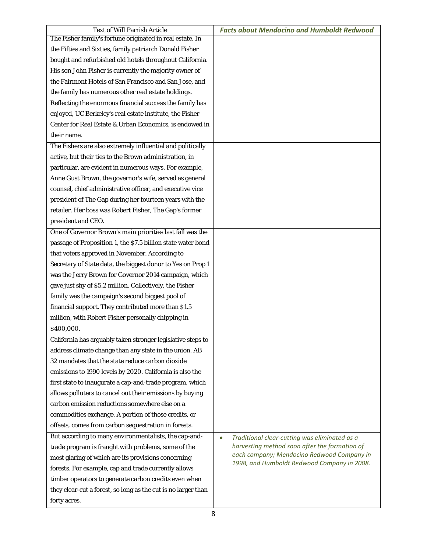| <b>Text of Will Parrish Article</b>                           | <b>Facts about Mendocino and Humboldt Redwood</b>          |
|---------------------------------------------------------------|------------------------------------------------------------|
| The Fisher family's fortune originated in real estate. In     |                                                            |
| the Fifties and Sixties, family patriarch Donald Fisher       |                                                            |
| bought and refurbished old hotels throughout California.      |                                                            |
| His son John Fisher is currently the majority owner of        |                                                            |
| the Fairmont Hotels of San Francisco and San Jose, and        |                                                            |
| the family has numerous other real estate holdings.           |                                                            |
| Reflecting the enormous financial success the family has      |                                                            |
| enjoyed, UC Berkeley's real estate institute, the Fisher      |                                                            |
| Center for Real Estate & Urban Economics, is endowed in       |                                                            |
| their name.                                                   |                                                            |
| The Fishers are also extremely influential and politically    |                                                            |
| active, but their ties to the Brown administration, in        |                                                            |
| particular, are evident in numerous ways. For example,        |                                                            |
| Anne Gust Brown, the governor's wife, served as general       |                                                            |
| counsel, chief administrative officer, and executive vice     |                                                            |
| president of The Gap during her fourteen years with the       |                                                            |
| retailer. Her boss was Robert Fisher, The Gap's former        |                                                            |
| president and CEO.                                            |                                                            |
| One of Governor Brown's main priorities last fall was the     |                                                            |
| passage of Proposition 1, the \$7.5 billion state water bond  |                                                            |
| that voters approved in November. According to                |                                                            |
| Secretary of State data, the biggest donor to Yes on Prop 1   |                                                            |
| was the Jerry Brown for Governor 2014 campaign, which         |                                                            |
| gave just shy of \$5.2 million. Collectively, the Fisher      |                                                            |
| family was the campaign's second biggest pool of              |                                                            |
| financial support. They contributed more than \$1.5           |                                                            |
| million, with Robert Fisher personally chipping in            |                                                            |
| \$400,000.                                                    |                                                            |
| California has arguably taken stronger legislative steps to   |                                                            |
| address climate change than any state in the union. AB        |                                                            |
| 32 mandates that the state reduce carbon dioxide              |                                                            |
| emissions to 1990 levels by 2020. California is also the      |                                                            |
| first state to inaugurate a cap-and-trade program, which      |                                                            |
| allows polluters to cancel out their emissions by buying      |                                                            |
| carbon emission reductions somewhere else on a                |                                                            |
| commodities exchange. A portion of those credits, or          |                                                            |
| offsets, comes from carbon sequestration in forests.          |                                                            |
| But according to many environmentalists, the cap-and-         | Traditional clear-cutting was eliminated as a<br>$\bullet$ |
| trade program is fraught with problems, some of the           | harvesting method soon after the formation of              |
| most glaring of which are its provisions concerning           | each company; Mendocino Redwood Company in                 |
| forests. For example, cap and trade currently allows          | 1998, and Humboldt Redwood Company in 2008.                |
| timber operators to generate carbon credits even when         |                                                            |
| they clear-cut a forest, so long as the cut is no larger than |                                                            |
| forty acres.                                                  |                                                            |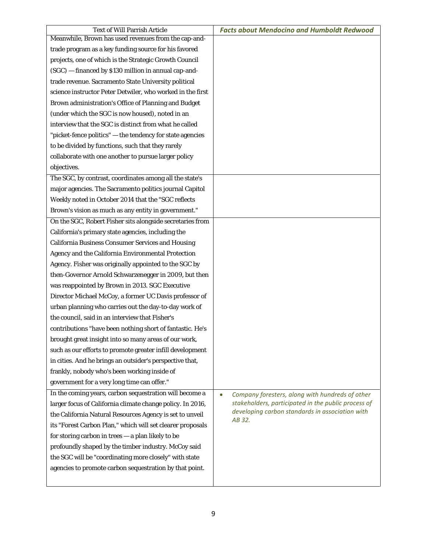| <b>Text of Will Parrish Article</b>                        | <b>Facts about Mendocino and Humboldt Redwood</b>            |
|------------------------------------------------------------|--------------------------------------------------------------|
| Meanwhile, Brown has used revenues from the cap-and-       |                                                              |
| trade program as a key funding source for his favored      |                                                              |
| projects, one of which is the Strategic Growth Council     |                                                              |
| (SGC) - financed by \$130 million in annual cap-and-       |                                                              |
| trade revenue. Sacramento State University political       |                                                              |
| science instructor Peter Detwiler, who worked in the first |                                                              |
| Brown administration's Office of Planning and Budget       |                                                              |
| (under which the SGC is now housed), noted in an           |                                                              |
| interview that the SGC is distinct from what he called     |                                                              |
| "picket-fence politics" - the tendency for state agencies  |                                                              |
| to be divided by functions, such that they rarely          |                                                              |
| collaborate with one another to pursue larger policy       |                                                              |
| objectives.                                                |                                                              |
| The SGC, by contrast, coordinates among all the state's    |                                                              |
| major agencies. The Sacramento politics journal Capitol    |                                                              |
| Weekly noted in October 2014 that the "SGC reflects        |                                                              |
| Brown's vision as much as any entity in government."       |                                                              |
| On the SGC, Robert Fisher sits alongside secretaries from  |                                                              |
| California's primary state agencies, including the         |                                                              |
| <b>California Business Consumer Services and Housing</b>   |                                                              |
| Agency and the California Environmental Protection         |                                                              |
| Agency. Fisher was originally appointed to the SGC by      |                                                              |
| then-Governor Arnold Schwarzenegger in 2009, but then      |                                                              |
| was reappointed by Brown in 2013. SGC Executive            |                                                              |
| Director Michael McCoy, a former UC Davis professor of     |                                                              |
| urban planning who carries out the day-to-day work of      |                                                              |
| the council, said in an interview that Fisher's            |                                                              |
| contributions "have been nothing short of fantastic. He's  |                                                              |
| brought great insight into so many areas of our work,      |                                                              |
| such as our efforts to promote greater infill development  |                                                              |
| in cities. And he brings an outsider's perspective that,   |                                                              |
| frankly, nobody who's been working inside of               |                                                              |
| government for a very long time can offer."                |                                                              |
| In the coming years, carbon sequestration will become a    | Company foresters, along with hundreds of other<br>$\bullet$ |
| larger focus of California climate change policy. In 2016, | stakeholders, participated in the public process of          |
| the California Natural Resources Agency is set to unveil   | developing carbon standards in association with              |
| its "Forest Carbon Plan," which will set clearer proposals | AB 32.                                                       |
| for storing carbon in trees - a plan likely to be          |                                                              |
| profoundly shaped by the timber industry. McCoy said       |                                                              |
| the SGC will be "coordinating more closely" with state     |                                                              |
| agencies to promote carbon sequestration by that point.    |                                                              |
|                                                            |                                                              |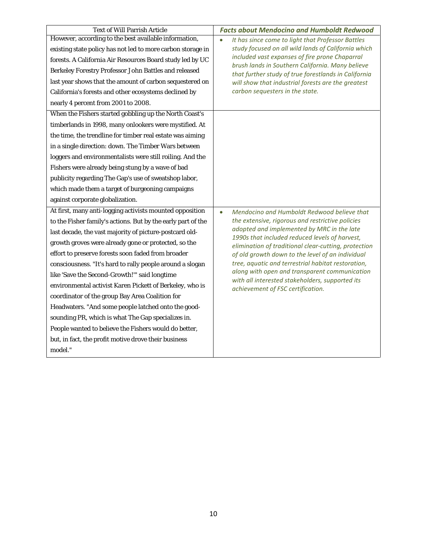| <b>Text of Will Parrish Article</b>                          | <b>Facts about Mendocino and Humboldt Redwood</b>                                                  |
|--------------------------------------------------------------|----------------------------------------------------------------------------------------------------|
| However, according to the best available information,        | It has since come to light that Professor Battles                                                  |
| existing state policy has not led to more carbon storage in  | study focused on all wild lands of California which                                                |
| forests. A California Air Resources Board study led by UC    | included vast expanses of fire prone Chaparral<br>brush lands in Southern California. Many believe |
| Berkeley Forestry Professor John Battles and released        | that further study of true forestlands in California                                               |
| last year shows that the amount of carbon sequestered on     | will show that industrial forests are the greatest                                                 |
| California's forests and other ecosystems declined by        | carbon sequesters in the state.                                                                    |
| nearly 4 percent from 2001 to 2008.                          |                                                                                                    |
| When the Fishers started gobbling up the North Coast's       |                                                                                                    |
| timberlands in 1998, many onlookers were mystified. At       |                                                                                                    |
| the time, the trendline for timber real estate was aiming    |                                                                                                    |
| in a single direction: down. The Timber Wars between         |                                                                                                    |
| loggers and environmentalists were still roiling. And the    |                                                                                                    |
| Fishers were already being stung by a wave of bad            |                                                                                                    |
| publicity regarding The Gap's use of sweatshop labor,        |                                                                                                    |
| which made them a target of burgeoning campaigns             |                                                                                                    |
| against corporate globalization.                             |                                                                                                    |
| At first, many anti-logging activists mounted opposition     | Mendocino and Humboldt Redwood believe that<br>$\bullet$                                           |
| to the Fisher family's actions. But by the early part of the | the extensive, rigorous and restrictive policies                                                   |
| last decade, the vast majority of picture-postcard old-      | adopted and implemented by MRC in the late<br>1990s that included reduced levels of harvest,       |
| growth groves were already gone or protected, so the         | elimination of traditional clear-cutting, protection                                               |
| effort to preserve forests soon faded from broader           | of old growth down to the level of an individual                                                   |
| consciousness. "It's hard to rally people around a slogan    | tree, aquatic and terrestrial habitat restoration,                                                 |
| like 'Save the Second-Growth!'" said longtime                | along with open and transparent communication<br>with all interested stakeholders, supported its   |
| environmental activist Karen Pickett of Berkeley, who is     | achievement of FSC certification.                                                                  |
| coordinator of the group Bay Area Coalition for              |                                                                                                    |
| Headwaters. "And some people latched onto the good-          |                                                                                                    |
| sounding PR, which is what The Gap specializes in.           |                                                                                                    |
| People wanted to believe the Fishers would do better,        |                                                                                                    |
| but, in fact, the profit motive drove their business         |                                                                                                    |
| model."                                                      |                                                                                                    |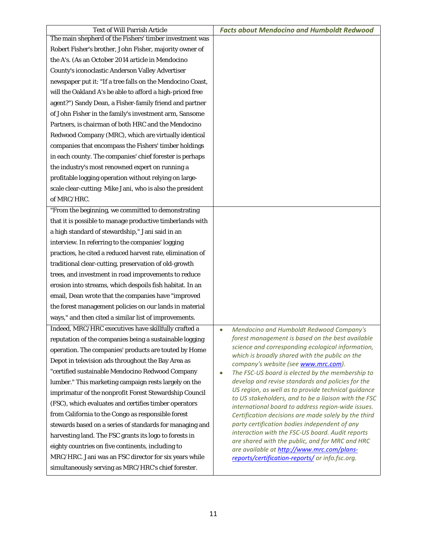| <b>Text of Will Parrish Article</b>                        | <b>Facts about Mendocino and Humboldt Redwood</b>                                                          |
|------------------------------------------------------------|------------------------------------------------------------------------------------------------------------|
| The main shepherd of the Fishers' timber investment was    |                                                                                                            |
| Robert Fisher's brother, John Fisher, majority owner of    |                                                                                                            |
| the A's. (As an October 2014 article in Mendocino          |                                                                                                            |
| County's iconoclastic Anderson Valley Advertiser           |                                                                                                            |
| newspaper put it: "If a tree falls on the Mendocino Coast, |                                                                                                            |
| will the Oakland A's be able to afford a high-priced free  |                                                                                                            |
| agent?") Sandy Dean, a Fisher-family friend and partner    |                                                                                                            |
| of John Fisher in the family's investment arm, Sansome     |                                                                                                            |
| Partners, is chairman of both HRC and the Mendocino        |                                                                                                            |
| Redwood Company (MRC), which are virtually identical       |                                                                                                            |
| companies that encompass the Fishers' timber holdings      |                                                                                                            |
| in each county. The companies' chief forester is perhaps   |                                                                                                            |
| the industry's most renowned expert on running a           |                                                                                                            |
| profitable logging operation without relying on large-     |                                                                                                            |
| scale clear-cutting: Mike Jani, who is also the president  |                                                                                                            |
| of MRC/HRC.                                                |                                                                                                            |
| "From the beginning, we committed to demonstrating         |                                                                                                            |
| that it is possible to manage productive timberlands with  |                                                                                                            |
| a high standard of stewardship," Jani said in an           |                                                                                                            |
| interview. In referring to the companies' logging          |                                                                                                            |
| practices, he cited a reduced harvest rate, elimination of |                                                                                                            |
| traditional clear-cutting, preservation of old-growth      |                                                                                                            |
| trees, and investment in road improvements to reduce       |                                                                                                            |
| erosion into streams, which despoils fish habitat. In an   |                                                                                                            |
| email, Dean wrote that the companies have "improved        |                                                                                                            |
| the forest management policies on our lands in material    |                                                                                                            |
| ways," and then cited a similar list of improvements.      |                                                                                                            |
| Indeed, MRC/HRC executives have skillfully crafted a       | Mendocino and Humboldt Redwood Company's                                                                   |
| reputation of the companies being a sustainable logging    | forest management is based on the best available                                                           |
| operation. The companies' products are touted by Home      | science and corresponding ecological information,<br>which is broadly shared with the public on the        |
| Depot in television ads throughout the Bay Area as         | company's website (see www.mrc.com).                                                                       |
| "certified sustainable Mendocino Redwood Company           | The FSC-US board is elected by the membership to<br>$\bullet$                                              |
| lumber." This marketing campaign rests largely on the      | develop and revise standards and policies for the                                                          |
| imprimatur of the nonprofit Forest Stewardship Council     | US region, as well as to provide technical guidance                                                        |
| (FSC), which evaluates and certifies timber operators      | to US stakeholders, and to be a liaison with the FSC<br>international board to address region-wide issues. |
| from California to the Congo as responsible forest         | Certification decisions are made solely by the third                                                       |
| stewards based on a series of standards for managing and   | party certification bodies independent of any                                                              |
| harvesting land. The FSC grants its logo to forests in     | interaction with the FSC-US board. Audit reports                                                           |
| eighty countries on five continents, including to          | are shared with the public, and for MRC and HRC<br>are available at http://www.mrc.com/plans-              |
| MRC/HRC. Jani was an FSC director for six years while      | reports/certification-reports/ or info.fsc.org.                                                            |
| simultaneously serving as MRC/HRC's chief forester.        |                                                                                                            |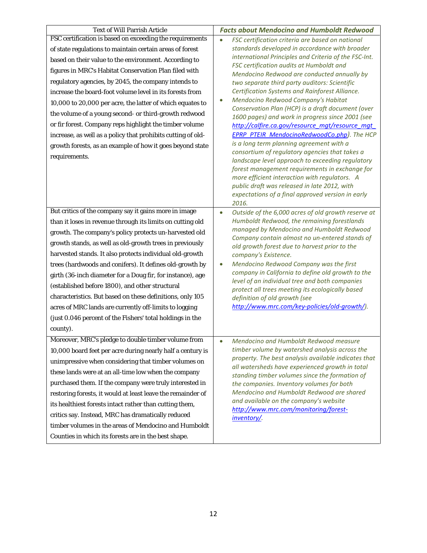| <b>Text of Will Parrish Article</b>                                                                                                                                                                                                                                                                                                                                                                                                                                                                                                                                                                                                                                                       | <b>Facts about Mendocino and Humboldt Redwood</b>                                                                                                                                                                                                                                                                                                                                                                                                                                                                                                                                                                                                                                                                                                                                                                                |
|-------------------------------------------------------------------------------------------------------------------------------------------------------------------------------------------------------------------------------------------------------------------------------------------------------------------------------------------------------------------------------------------------------------------------------------------------------------------------------------------------------------------------------------------------------------------------------------------------------------------------------------------------------------------------------------------|----------------------------------------------------------------------------------------------------------------------------------------------------------------------------------------------------------------------------------------------------------------------------------------------------------------------------------------------------------------------------------------------------------------------------------------------------------------------------------------------------------------------------------------------------------------------------------------------------------------------------------------------------------------------------------------------------------------------------------------------------------------------------------------------------------------------------------|
|                                                                                                                                                                                                                                                                                                                                                                                                                                                                                                                                                                                                                                                                                           | FSC certification criteria are based on national                                                                                                                                                                                                                                                                                                                                                                                                                                                                                                                                                                                                                                                                                                                                                                                 |
| FSC certification is based on exceeding the requirements<br>of state regulations to maintain certain areas of forest<br>based on their value to the environment. According to<br>figures in MRC's Habitat Conservation Plan filed with<br>regulatory agencies, by 2045, the company intends to<br>increase the board-foot volume level in its forests from<br>10,000 to 20,000 per acre, the latter of which equates to<br>the volume of a young second- or third-growth redwood<br>or fir forest. Company reps highlight the timber volume<br>increase, as well as a policy that prohibits cutting of old-<br>growth forests, as an example of how it goes beyond state<br>requirements. | standards developed in accordance with broader<br>international Principles and Criteria of the FSC-Int.<br>FSC certification audits at Humboldt and<br>Mendocino Redwood are conducted annually by<br>two separate third party auditors: Scientific<br>Certification Systems and Rainforest Alliance.<br>Mendocino Redwood Company's Habitat<br>$\bullet$<br>Conservation Plan (HCP) is a draft document (over<br>1600 pages) and work in progress since 2001 (see<br>http://calfire.ca.gov/resource mgt/resource mgt<br><b>EPRP PTEIR MendocinoRedwoodCo.php).</b> The HCP<br>is a long term planning agreement with a<br>consortium of regulatory agencies that takes a<br>landscape level approach to exceeding regulatory<br>forest management requirements in exchange for<br>more efficient interaction with regulators. A |
|                                                                                                                                                                                                                                                                                                                                                                                                                                                                                                                                                                                                                                                                                           | public draft was released in late 2012, with<br>expectations of a final approved version in early<br>2016.                                                                                                                                                                                                                                                                                                                                                                                                                                                                                                                                                                                                                                                                                                                       |
| But critics of the company say it gains more in image                                                                                                                                                                                                                                                                                                                                                                                                                                                                                                                                                                                                                                     | Outside of the 6,000 acres of old growth reserve at<br>$\bullet$                                                                                                                                                                                                                                                                                                                                                                                                                                                                                                                                                                                                                                                                                                                                                                 |
| than it loses in revenue through its limits on cutting old                                                                                                                                                                                                                                                                                                                                                                                                                                                                                                                                                                                                                                | Humboldt Redwood, the remaining forestlands                                                                                                                                                                                                                                                                                                                                                                                                                                                                                                                                                                                                                                                                                                                                                                                      |
| growth. The company's policy protects un-harvested old                                                                                                                                                                                                                                                                                                                                                                                                                                                                                                                                                                                                                                    | managed by Mendocino and Humboldt Redwood<br>Company contain almost no un-entered stands of                                                                                                                                                                                                                                                                                                                                                                                                                                                                                                                                                                                                                                                                                                                                      |
| growth stands, as well as old-growth trees in previously                                                                                                                                                                                                                                                                                                                                                                                                                                                                                                                                                                                                                                  | old growth forest due to harvest prior to the                                                                                                                                                                                                                                                                                                                                                                                                                                                                                                                                                                                                                                                                                                                                                                                    |
| harvested stands. It also protects individual old-growth                                                                                                                                                                                                                                                                                                                                                                                                                                                                                                                                                                                                                                  | company's Existence.                                                                                                                                                                                                                                                                                                                                                                                                                                                                                                                                                                                                                                                                                                                                                                                                             |
| trees (hardwoods and conifers). It defines old-growth by                                                                                                                                                                                                                                                                                                                                                                                                                                                                                                                                                                                                                                  | Mendocino Redwood Company was the first<br>$\bullet$                                                                                                                                                                                                                                                                                                                                                                                                                                                                                                                                                                                                                                                                                                                                                                             |
| girth (36-inch diameter for a Doug fir, for instance), age                                                                                                                                                                                                                                                                                                                                                                                                                                                                                                                                                                                                                                | company in California to define old growth to the<br>level of an individual tree and both companies                                                                                                                                                                                                                                                                                                                                                                                                                                                                                                                                                                                                                                                                                                                              |
| (established before 1800), and other structural                                                                                                                                                                                                                                                                                                                                                                                                                                                                                                                                                                                                                                           | protect all trees meeting its ecologically based                                                                                                                                                                                                                                                                                                                                                                                                                                                                                                                                                                                                                                                                                                                                                                                 |
| characteristics. But based on these definitions, only 105                                                                                                                                                                                                                                                                                                                                                                                                                                                                                                                                                                                                                                 | definition of old growth (see                                                                                                                                                                                                                                                                                                                                                                                                                                                                                                                                                                                                                                                                                                                                                                                                    |
| acres of MRC lands are currently off-limits to logging                                                                                                                                                                                                                                                                                                                                                                                                                                                                                                                                                                                                                                    | http://www.mrc.com/key-policies/old-growth/).                                                                                                                                                                                                                                                                                                                                                                                                                                                                                                                                                                                                                                                                                                                                                                                    |
| (just 0.046 percent of the Fishers' total holdings in the                                                                                                                                                                                                                                                                                                                                                                                                                                                                                                                                                                                                                                 |                                                                                                                                                                                                                                                                                                                                                                                                                                                                                                                                                                                                                                                                                                                                                                                                                                  |
| county).                                                                                                                                                                                                                                                                                                                                                                                                                                                                                                                                                                                                                                                                                  |                                                                                                                                                                                                                                                                                                                                                                                                                                                                                                                                                                                                                                                                                                                                                                                                                                  |
| Moreover, MRC's pledge to double timber volume from                                                                                                                                                                                                                                                                                                                                                                                                                                                                                                                                                                                                                                       | Mendocino and Humboldt Redwood measure<br>$\bullet$                                                                                                                                                                                                                                                                                                                                                                                                                                                                                                                                                                                                                                                                                                                                                                              |
| 10,000 board feet per acre during nearly half a century is                                                                                                                                                                                                                                                                                                                                                                                                                                                                                                                                                                                                                                | timber volume by watershed analysis across the<br>property. The best analysis available indicates that                                                                                                                                                                                                                                                                                                                                                                                                                                                                                                                                                                                                                                                                                                                           |
| unimpressive when considering that timber volumes on                                                                                                                                                                                                                                                                                                                                                                                                                                                                                                                                                                                                                                      | all watersheds have experienced growth in total                                                                                                                                                                                                                                                                                                                                                                                                                                                                                                                                                                                                                                                                                                                                                                                  |
| these lands were at an all-time low when the company                                                                                                                                                                                                                                                                                                                                                                                                                                                                                                                                                                                                                                      | standing timber volumes since the formation of                                                                                                                                                                                                                                                                                                                                                                                                                                                                                                                                                                                                                                                                                                                                                                                   |
| purchased them. If the company were truly interested in                                                                                                                                                                                                                                                                                                                                                                                                                                                                                                                                                                                                                                   | the companies. Inventory volumes for both                                                                                                                                                                                                                                                                                                                                                                                                                                                                                                                                                                                                                                                                                                                                                                                        |
| restoring forests, it would at least leave the remainder of                                                                                                                                                                                                                                                                                                                                                                                                                                                                                                                                                                                                                               | Mendocino and Humboldt Redwood are shared<br>and available on the company's website                                                                                                                                                                                                                                                                                                                                                                                                                                                                                                                                                                                                                                                                                                                                              |
| its healthiest forests intact rather than cutting them,                                                                                                                                                                                                                                                                                                                                                                                                                                                                                                                                                                                                                                   | http://www.mrc.com/monitoring/forest-                                                                                                                                                                                                                                                                                                                                                                                                                                                                                                                                                                                                                                                                                                                                                                                            |
| critics say. Instead, MRC has dramatically reduced                                                                                                                                                                                                                                                                                                                                                                                                                                                                                                                                                                                                                                        | inventory/.                                                                                                                                                                                                                                                                                                                                                                                                                                                                                                                                                                                                                                                                                                                                                                                                                      |
| timber volumes in the areas of Mendocino and Humboldt                                                                                                                                                                                                                                                                                                                                                                                                                                                                                                                                                                                                                                     |                                                                                                                                                                                                                                                                                                                                                                                                                                                                                                                                                                                                                                                                                                                                                                                                                                  |
| Counties in which its forests are in the best shape.                                                                                                                                                                                                                                                                                                                                                                                                                                                                                                                                                                                                                                      |                                                                                                                                                                                                                                                                                                                                                                                                                                                                                                                                                                                                                                                                                                                                                                                                                                  |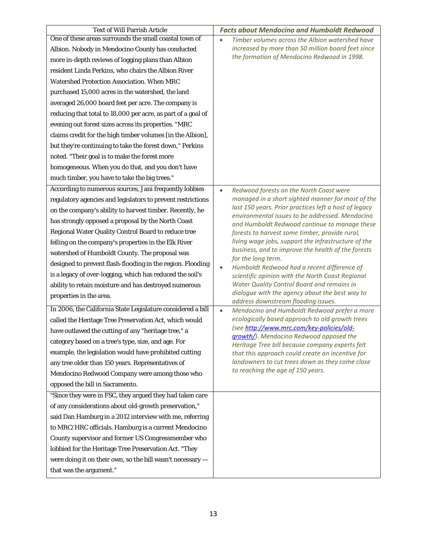| <b>Text of Will Parrish Article</b>                          | <b>Facts about Mendocino and Humboldt Redwood</b>                                                        |
|--------------------------------------------------------------|----------------------------------------------------------------------------------------------------------|
| One of these areas surrounds the small coastal town of       | Timber volumes across the Albion watershed have                                                          |
| Albion. Nobody in Mendocino County has conducted             | increased by more than 50 million board feet since                                                       |
| more in-depth reviews of logging plans than Albion           | the formation of Mendocino Redwood in 1998.                                                              |
| resident Linda Perkins, who chairs the Albion River          |                                                                                                          |
| Watershed Protection Association. When MRC                   |                                                                                                          |
| purchased 15,000 acres in the watershed, the land            |                                                                                                          |
| averaged 26,000 board feet per acre. The company is          |                                                                                                          |
| reducing that total to 18,000 per acre, as part of a goal of |                                                                                                          |
| evening out forest sizes across its properties. "MRC         |                                                                                                          |
| claims credit for the high timber volumes [in the Albion],   |                                                                                                          |
| but they're continuing to take the forest down," Perkins     |                                                                                                          |
| noted. "Their goal is to make the forest more                |                                                                                                          |
| homogeneous. When you do that, and you don't have            |                                                                                                          |
| much timber, you have to take the big trees."                |                                                                                                          |
| According to numerous sources, Jani frequently lobbies       | Redwood forests on the North Coast were<br>$\bullet$                                                     |
| regulatory agencies and legislators to prevent restrictions  | managed in a short sighted manner for most of the                                                        |
| on the company's ability to harvest timber. Recently, he     | last 150 years. Prior practices left a host of legacy<br>environmental issues to be addressed. Mendocino |
| has strongly opposed a proposal by the North Coast           | and Humboldt Redwood continue to manage these                                                            |
| Regional Water Quality Control Board to reduce tree          | forests to harvest some timber, provide rural,                                                           |
| felling on the company's properties in the Elk River         | living wage jobs, support the infrastructure of the                                                      |
| watershed of Humboldt County. The proposal was               | business, and to improve the health of the forests<br>for the long term.                                 |
| designed to prevent flash-flooding in the region. Flooding   | Humboldt Redwood had a recent difference of                                                              |
| is a legacy of over-logging, which has reduced the soil's    | scientific opinion with the North Coast Regional                                                         |
| ability to retain moisture and has destroyed numerous        | Water Quality Control Board and remains in                                                               |
| properties in the area.                                      | dialogue with the agency about the best way to<br>address downstream flooding issues.                    |
| In 2006, the California State Legislature considered a bill  | Mendocino and Humboldt Redwood prefer a more<br>$\bullet$                                                |
| called the Heritage Tree Preservation Act, which would       | ecologically based approach to old growth trees                                                          |
| have outlawed the cutting of any "heritage tree," a          | (see http://www.mrc.com/key-policies/old-                                                                |
| category based on a tree's type, size, and age. For          | growth/). Mendocino Redwood opposed the<br>Heritage Tree bill because company experts felt               |
| example, the legislation would have prohibited cutting       | that this approach could create an incentive for                                                         |
| any tree older than 150 years. Representatives of            | landowners to cut trees down as they come close                                                          |
| Mendocino Redwood Company were among those who               | to reaching the age of 150 years.                                                                        |
| opposed the bill in Sacramento.                              |                                                                                                          |
| "Since they were in FSC, they argued they had taken care     |                                                                                                          |
| of any considerations about old-growth preservation,"        |                                                                                                          |
| said Dan Hamburg in a 2012 interview with me, referring      |                                                                                                          |
| to MRC/HRC officials. Hamburg is a current Mendocino         |                                                                                                          |
| County supervisor and former US Congressmember who           |                                                                                                          |
| lobbied for the Heritage Tree Preservation Act. "They        |                                                                                                          |
| were doing it on their own, so the bill wasn't necessary -   |                                                                                                          |
| that was the argument."                                      |                                                                                                          |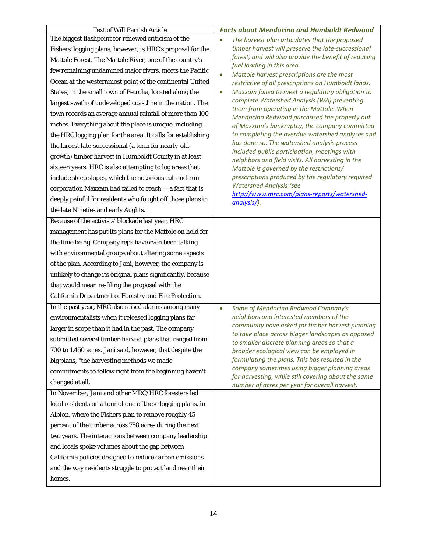| <b>Text of Will Parrish Article</b>                          | <b>Facts about Mendocino and Humboldt Redwood</b>                                                     |
|--------------------------------------------------------------|-------------------------------------------------------------------------------------------------------|
| The biggest flashpoint for renewed criticism of the          | The harvest plan articulates that the proposed                                                        |
| Fishers' logging plans, however, is HRC's proposal for the   | timber harvest will preserve the late-successional                                                    |
| Mattole Forest. The Mattole River, one of the country's      | forest, and will also provide the benefit of reducing<br>fuel loading in this area.                   |
| few remaining undammed major rivers, meets the Pacific       | Mattole harvest prescriptions are the most<br>$\bullet$                                               |
| Ocean at the westernmost point of the continental United     | restrictive of all prescriptions on Humboldt lands.                                                   |
| States, in the small town of Petrolia, located along the     | Maxxam failed to meet a regulatory obligation to<br>$\bullet$                                         |
| largest swath of undeveloped coastline in the nation. The    | complete Watershed Analysis (WA) preventing                                                           |
| town records an average annual rainfall of more than 100     | them from operating in the Mattole. When<br>Mendocino Redwood purchased the property out              |
| inches. Everything about the place is unique, including      | of Maxxam's bankruptcy, the company committed                                                         |
| the HRC logging plan for the area. It calls for establishing | to completing the overdue watershed analyses and                                                      |
| the largest late-successional (a term for nearly-old-        | has done so. The watershed analysis process                                                           |
| growth) timber harvest in Humboldt County in at least        | included public participation, meetings with<br>neighbors and field visits. All harvesting in the     |
| sixteen years. HRC is also attempting to log areas that      | Mattole is governed by the restrictions/                                                              |
| include steep slopes, which the notorious cut-and-run        | prescriptions produced by the regulatory required                                                     |
| corporation Maxxam had failed to reach - a fact that is      | <b>Watershed Analysis (see</b>                                                                        |
| deeply painful for residents who fought off those plans in   | http://www.mrc.com/plans-reports/watershed-<br>analysis/).                                            |
| the late Nineties and early Aughts.                          |                                                                                                       |
| Because of the activists' blockade last year, HRC            |                                                                                                       |
| management has put its plans for the Mattole on hold for     |                                                                                                       |
| the time being. Company reps have even been talking          |                                                                                                       |
| with environmental groups about altering some aspects        |                                                                                                       |
| of the plan. According to Jani, however, the company is      |                                                                                                       |
| unlikely to change its original plans significantly, because |                                                                                                       |
| that would mean re-filing the proposal with the              |                                                                                                       |
| California Department of Forestry and Fire Protection.       |                                                                                                       |
| In the past year, MRC also raised alarms among many          | Some of Mendocino Redwood Company's<br>$\bullet$                                                      |
| environmentalists when it released logging plans far         | neighbors and interested members of the                                                               |
| larger in scope than it had in the past. The company         | community have asked for timber harvest planning<br>to take place across bigger landscapes as opposed |
| submitted several timber-harvest plans that ranged from      | to smaller discrete planning areas so that a                                                          |
| 700 to 1,450 acres. Jani said, however, that despite the     | broader ecological view can be employed in                                                            |
| big plans, "the harvesting methods we made                   | formulating the plans. This has resulted in the                                                       |
| commitments to follow right from the beginning haven't       | company sometimes using bigger planning areas<br>for harvesting, while still covering about the same  |
| changed at all."                                             | number of acres per year for overall harvest.                                                         |
| In November, Jani and other MRC/HRC foresters led            |                                                                                                       |
| local residents on a tour of one of these logging plans, in  |                                                                                                       |
| Albion, where the Fishers plan to remove roughly 45          |                                                                                                       |
| percent of the timber across 758 acres during the next       |                                                                                                       |
| two years. The interactions between company leadership       |                                                                                                       |
| and locals spoke volumes about the gap between               |                                                                                                       |
| California policies designed to reduce carbon emissions      |                                                                                                       |
| and the way residents struggle to protect land near their    |                                                                                                       |
| homes.                                                       |                                                                                                       |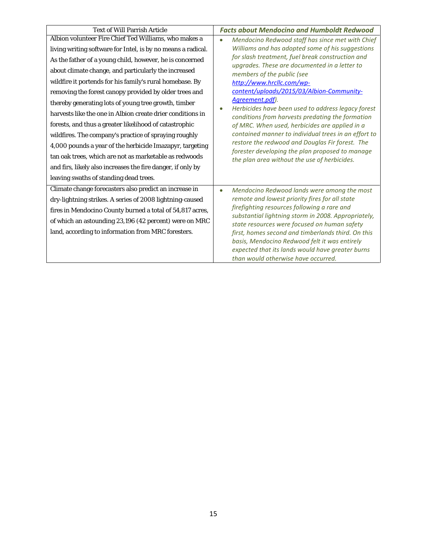| <b>Text of Will Parrish Article</b>                          | <b>Facts about Mendocino and Humboldt Redwood</b>                                                      |
|--------------------------------------------------------------|--------------------------------------------------------------------------------------------------------|
| Albion volunteer Fire Chief Ted Williams, who makes a        | Mendocino Redwood staff has since met with Chief<br>$\bullet$                                          |
| living writing software for Intel, is by no means a radical. | Williams and has adopted some of his suggestions                                                       |
| As the father of a young child, however, he is concerned     | for slash treatment, fuel break construction and<br>upgrades. These are documented in a letter to      |
| about climate change, and particularly the increased         | members of the public (see                                                                             |
| wildfire it portends for his family's rural homebase. By     | http://www.hrcllc.com/wp-                                                                              |
| removing the forest canopy provided by older trees and       | content/uploads/2015/03/Albion-Community-                                                              |
| thereby generating lots of young tree growth, timber         | Agreement.pdf).                                                                                        |
| harvests like the one in Albion create drier conditions in   | Herbicides have been used to address legacy forest<br>conditions from harvests predating the formation |
| forests, and thus a greater likelihood of catastrophic       | of MRC. When used, herbicides are applied in a                                                         |
| wildfires. The company's practice of spraying roughly        | contained manner to individual trees in an effort to                                                   |
| 4,000 pounds a year of the herbicide Imazapyr, targeting     | restore the redwood and Douglas Fir forest. The<br>forester developing the plan proposed to manage     |
| tan oak trees, which are not as marketable as redwoods       | the plan area without the use of herbicides.                                                           |
| and firs, likely also increases the fire danger, if only by  |                                                                                                        |
| leaving swaths of standing dead trees.                       |                                                                                                        |
| Climate change forecasters also predict an increase in       | Mendocino Redwood lands were among the most<br>$\bullet$                                               |
| dry-lightning strikes. A series of 2008 lightning-caused     | remote and lowest priority fires for all state                                                         |
| fires in Mendocino County burned a total of 54,817 acres,    | firefighting resources following a rare and<br>substantial lightning storm in 2008. Appropriately,     |
| of which an astounding 23,196 (42 percent) were on MRC       | state resources were focused on human safety                                                           |
| land, according to information from MRC foresters.           | first, homes second and timberlands third. On this                                                     |
|                                                              | basis, Mendocino Redwood felt it was entirely                                                          |
|                                                              | expected that its lands would have greater burns                                                       |
|                                                              | than would otherwise have occurred.                                                                    |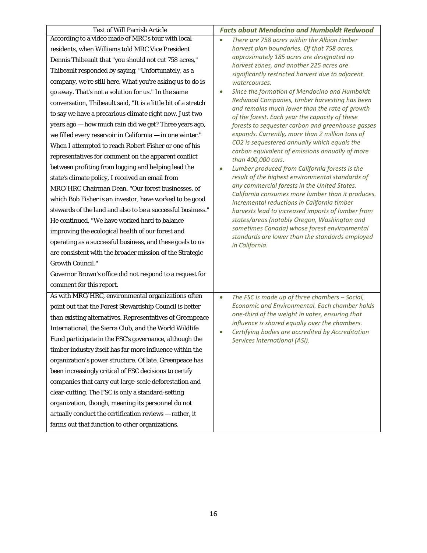| <b>Text of Will Parrish Article</b>                            | <b>Facts about Mendocino and Humboldt Redwood</b>                                                 |
|----------------------------------------------------------------|---------------------------------------------------------------------------------------------------|
| According to a video made of MRC's tour with local             | There are 758 acres within the Albion timber<br>$\bullet$                                         |
| residents, when Williams told MRC Vice President               | harvest plan boundaries. Of that 758 acres,                                                       |
| Dennis Thibeault that "you should not cut 758 acres,"          | approximately 185 acres are designated no                                                         |
| Thibeault responded by saying, "Unfortunately, as a            | harvest zones, and another 225 acres are<br>significantly restricted harvest due to adjacent      |
| company, we're still here. What you're asking us to do is      | watercourses.                                                                                     |
| go away. That's not a solution for us." In the same            | Since the formation of Mendocino and Humboldt                                                     |
| conversation, Thibeault said, "It is a little bit of a stretch | Redwood Companies, timber harvesting has been                                                     |
| to say we have a precarious climate right now. Just two        | and remains much lower than the rate of growth<br>of the forest. Each year the capacity of these  |
| years ago - how much rain did we get? Three years ago,         | forests to sequester carbon and greenhouse gasses                                                 |
| we filled every reservoir in California - in one winter."      | expands. Currently, more than 2 million tons of                                                   |
| When I attempted to reach Robert Fisher or one of his          | CO2 is sequestered annually which equals the<br>carbon equivalent of emissions annually of more   |
| representatives for comment on the apparent conflict           | than 400,000 cars.                                                                                |
| between profiting from logging and helping lead the            | Lumber produced from California forests is the<br>$\bullet$                                       |
| state's climate policy, I received an email from               | result of the highest environmental standards of                                                  |
| MRC/HRC Chairman Dean. "Our forest businesses, of              | any commercial forests in the United States.<br>California consumes more lumber than it produces. |
| which Bob Fisher is an investor, have worked to be good        | Incremental reductions in California timber                                                       |
| stewards of the land and also to be a successful business."    | harvests lead to increased imports of lumber from                                                 |
| He continued, "We have worked hard to balance                  | states/areas (notably Oregon, Washington and                                                      |
| improving the ecological health of our forest and              | sometimes Canada) whose forest environmental<br>standards are lower than the standards employed   |
| operating as a successful business, and these goals to us      | in California.                                                                                    |
| are consistent with the broader mission of the Strategic       |                                                                                                   |
| <b>Growth Council."</b>                                        |                                                                                                   |
| Governor Brown's office did not respond to a request for       |                                                                                                   |
| comment for this report.                                       |                                                                                                   |
| As with MRC/HRC, environmental organizations often             | The FSC is made up of three chambers - Social,<br>$\bullet$                                       |
| point out that the Forest Stewardship Council is better        | Economic and Environmental. Each chamber holds                                                    |
| than existing alternatives. Representatives of Greenpeace      | one-third of the weight in votes, ensuring that<br>influence is shared equally over the chambers. |
| International, the Sierra Club, and the World Wildlife         | Certifying bodies are accredited by Accreditation<br>$\bullet$                                    |
| Fund participate in the FSC's governance, although the         | Services International (ASI).                                                                     |
| timber industry itself has far more influence within the       |                                                                                                   |
| organization's power structure. Of late, Greenpeace has        |                                                                                                   |
| been increasingly critical of FSC decisions to certify         |                                                                                                   |
| companies that carry out large-scale deforestation and         |                                                                                                   |
| clear-cutting. The FSC is only a standard-setting              |                                                                                                   |
| organization, though, meaning its personnel do not             |                                                                                                   |
| actually conduct the certification reviews - rather, it        |                                                                                                   |
| farms out that function to other organizations.                |                                                                                                   |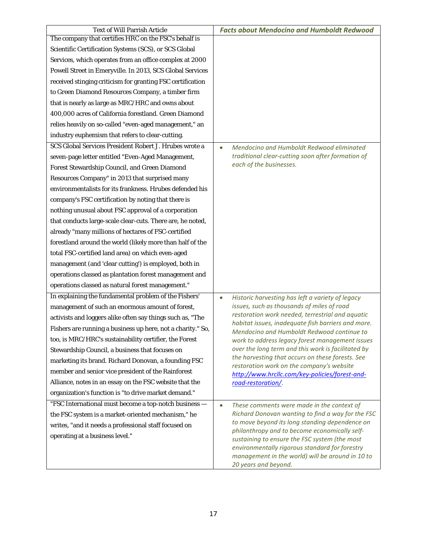| <b>Text of Will Parrish Article</b>                         | <b>Facts about Mendocino and Humboldt Redwood</b>                                                      |
|-------------------------------------------------------------|--------------------------------------------------------------------------------------------------------|
| The company that certifies HRC on the FSC's behalf is       |                                                                                                        |
| Scientific Certification Systems (SCS), or SCS Global       |                                                                                                        |
| Services, which operates from an office complex at 2000     |                                                                                                        |
| Powell Street in Emeryville. In 2013, SCS Global Services   |                                                                                                        |
| received stinging criticism for granting FSC certification  |                                                                                                        |
| to Green Diamond Resources Company, a timber firm           |                                                                                                        |
| that is nearly as large as MRC/HRC and owns about           |                                                                                                        |
| 400,000 acres of California forestland. Green Diamond       |                                                                                                        |
| relies heavily on so-called "even-aged management," an      |                                                                                                        |
| industry euphemism that refers to clear-cutting.            |                                                                                                        |
| SCS Global Services President Robert J. Hrubes wrote a      | Mendocino and Humboldt Redwood eliminated<br>$\bullet$                                                 |
| seven-page letter entitled "Even-Aged Management,           | traditional clear-cutting soon after formation of                                                      |
| Forest Stewardship Council, and Green Diamond               | each of the businesses.                                                                                |
| Resources Company" in 2013 that surprised many              |                                                                                                        |
| environmentalists for its frankness. Hrubes defended his    |                                                                                                        |
| company's FSC certification by noting that there is         |                                                                                                        |
| nothing unusual about FSC approval of a corporation         |                                                                                                        |
| that conducts large-scale clear-cuts. There are, he noted,  |                                                                                                        |
| already "many millions of hectares of FSC-certified         |                                                                                                        |
| forestland around the world (likely more than half of the   |                                                                                                        |
| total FSC-certified land area) on which even-aged           |                                                                                                        |
| management (and 'clear cutting') is employed, both in       |                                                                                                        |
| operations classed as plantation forest management and      |                                                                                                        |
| operations classed as natural forest management."           |                                                                                                        |
| In explaining the fundamental problem of the Fishers'       | Historic harvesting has left a variety of legacy<br>$\bullet$                                          |
| management of such an enormous amount of forest,            | issues, such as thousands of miles of road                                                             |
| activists and loggers alike often say things such as, "The  | restoration work needed, terrestrial and aquatic<br>habitat issues, inadequate fish barriers and more. |
| Fishers are running a business up here, not a charity." So, | Mendocino and Humboldt Redwood continue to                                                             |
| too, is MRC/HRC's sustainability certifier, the Forest      | work to address legacy forest management issues                                                        |
| Stewardship Council, a business that focuses on             | over the long term and this work is facilitated by                                                     |
| marketing its brand. Richard Donovan, a founding FSC        | the harvesting that occurs on these forests. See<br>restoration work on the company's website          |
| member and senior vice president of the Rainforest          | http://www.hrcllc.com/key-policies/forest-and-                                                         |
| Alliance, notes in an essay on the FSC website that the     | road-restoration/.                                                                                     |
| organization's function is "to drive market demand."        |                                                                                                        |
| "FSC International must become a top-notch business -       | These comments were made in the context of<br>$\bullet$                                                |
| the FSC system is a market-oriented mechanism," he          | Richard Donovan wanting to find a way for the FSC                                                      |
| writes, "and it needs a professional staff focused on       | to move beyond its long standing dependence on<br>philanthropy and to become economically self-        |
| operating at a business level."                             | sustaining to ensure the FSC system (the most                                                          |
|                                                             | environmentally rigorous standard for forestry                                                         |
|                                                             | management in the world) will be around in 10 to                                                       |
|                                                             | 20 years and beyond.                                                                                   |